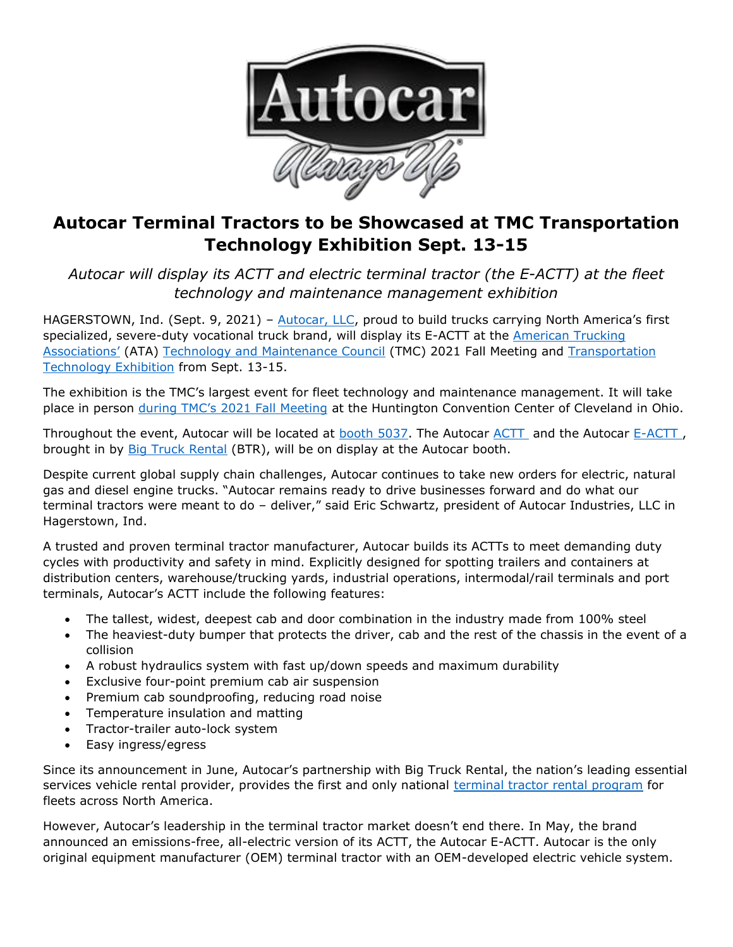

## **Autocar Terminal Tractors to be Showcased at TMC Transportation Technology Exhibition Sept. 13-15**

*Autocar will display its ACTT and electric terminal tractor (the E-ACTT) at the fleet technology and maintenance management exhibition*

HAGERSTOWN, Ind. (Sept. 9, 2021) - [Autocar, LLC,](https://www.autocartruck.com/actt/?utm_source=Press+Release&utm_medium=TMC+2021+Fall+Meeting+and+Transportation+Technology+Exhibition&utm_campaign=Autocar+Terminal+Tractors+to+be+Showcased+at+TMC+Transportation+Technology+Exhibition+Sept.+13-15&utm_id=Autocar+Terminal+Tractors) proud to build trucks carrying North America's first specialized, severe-duty vocational truck brand, will display its E-ACTT at the American Trucking [Associations'](https://www.trucking.org/technology-maintenance-council) (ATA) [Technology and Maintenance Council](https://tmc.trucking.org/) (TMC) 2021 Fall Meeting and [Transportation](https://tmcfall.trucking.org/)  [Technology Exhibition](https://tmcfall.trucking.org/) from Sept. 13-15.

The exhibition is the TMC's largest event for fleet technology and maintenance management. It will take place in person [during TMC's 2021 Fall Meeting](https://tmc.trucking.org/TMC-Fall-Meeting) at the Huntington Convention Center of Cleveland in Ohio.

Throughout the event, Autocar will be located at [booth 5037.](https://s23.a2zinc.net/clients/trucking/2021tmc/Public/EventMap.aspx?shMode=E) The Autocar [ACTT](https://www.autocartruck.com/terminal-tractor/?utm_source=Press+Release&utm_medium=TMC+2021+Fall+Meeting+and+Transportation+Technology+Exhibition&utm_campaign=Autocar+Terminal+Tractors+to+be+Showcased+at+TMC+Transportation+Technology+Exhibition+Sept.+13-15&utm_id=Autocar+Terminal+Tractors) and the Autocar E-ACTT, brought in by [Big Truck Rental](https://bigtruckrental.com/) (BTR), will be on display at the Autocar booth.

Despite current global supply chain challenges, Autocar continues to take new orders for electric, natural gas and diesel engine trucks. "Autocar remains ready to drive businesses forward and do what our terminal tractors were meant to do - deliver," said Eric Schwartz, president of Autocar Industries, LLC in Hagerstown, Ind.

A trusted and proven terminal tractor manufacturer, Autocar builds its ACTTs to meet demanding duty cycles with productivity and safety in mind. Explicitly designed for spotting trailers and containers at distribution centers, warehouse/trucking yards, industrial operations, intermodal/rail terminals and port terminals, Autocar's ACTT include the following features:

- The tallest, widest, deepest cab and door combination in the industry made from 100% steel
- The heaviest-duty bumper that protects the driver, cab and the rest of the chassis in the event of a collision
- A robust hydraulics system with fast up/down speeds and maximum durability
- Exclusive four-point premium cab air suspension
- Premium cab soundproofing, reducing road noise
- Temperature insulation and matting
- Tractor-trailer auto-lock system
- Easy ingress/egress

Since its announcement in June, Autocar's partnership with Big Truck Rental, the nation's leading essential services vehicle rental provider, provides the first and only national [terminal tractor rental program](https://www.autocartruck.com/news/autocar-truck-and-big-truck-rental-partner-to-launch-terminal-tractor-rental-program/?utm_source=Press+Release&utm_medium=TMC+2021+Fall+Meeting+and+Transportation+Technology+Exhibition&utm_campaign=Autocar+Terminal+Tractors+to+be+Showcased+at+TMC+Transportation+Technology+Exhibition+Sept.+13-15&utm_id=Autocar+Terminal+Tractor+Rental+Program) for fleets across North America.

However, Autocar's leadership in the terminal tractor market doesn't end there. In May, the brand announced an emissions-free, all-electric version of its ACTT, the Autocar E-ACTT. Autocar is the only original equipment manufacturer (OEM) terminal tractor with an OEM-developed electric vehicle system.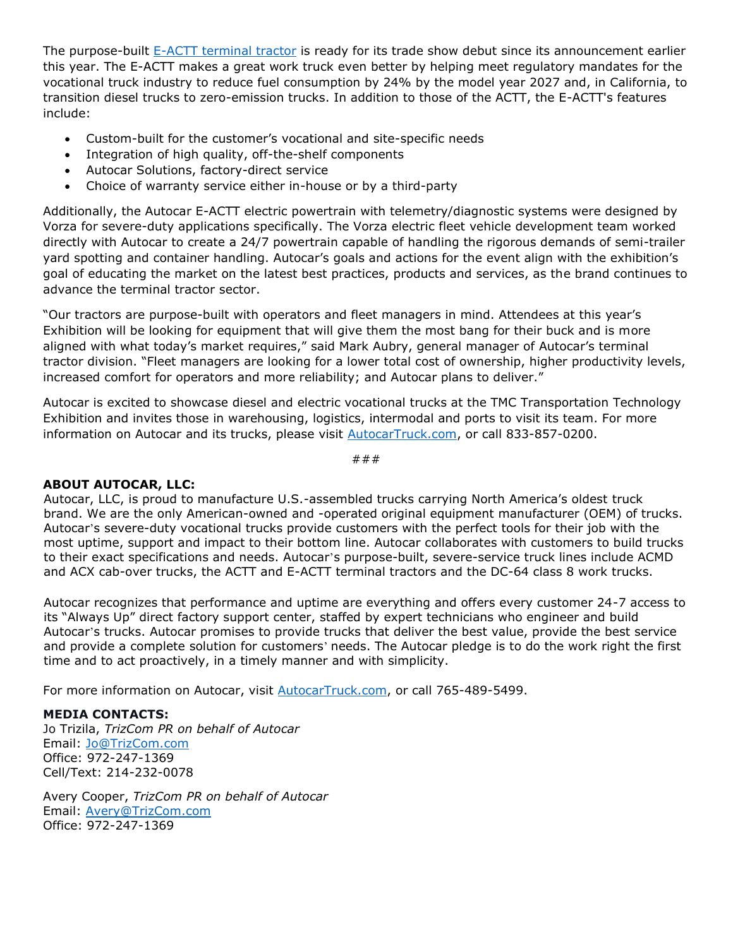The purpose-built [E-ACTT terminal tractor](https://www.autocartruck.com/news/autocar-llc-launches-the-e-actt-an-emissions-free-all-electric-terminal-tractor/?utm_source=Press+Release&utm_medium=TMC+2021+Fall+Meeting+and+Transportation+Technology+Exhibition&utm_campaign=Autocar+Terminal+Tractors+to+be+Showcased+at+TMC+Transportation+Technology+Exhibition+Sept.+13-15&utm_id=Autocar+E-ACTT) is ready for its trade show debut since its announcement earlier this year. The E-ACTT makes a great work truck even better by helping meet regulatory mandates for the vocational truck industry to reduce fuel consumption by 24% by the model year 2027 and, in California, to transition diesel trucks to zero-emission trucks. In addition to those of the ACTT, the E-ACTT's features include:

- Custom-built for the customer's vocational and site-specific needs
- Integration of high quality, off-the-shelf components
- Autocar Solutions, factory-direct service
- Choice of warranty service either in-house or by a third-party

Additionally, the Autocar E-ACTT electric powertrain with telemetry/diagnostic systems were designed by Vorza for severe-duty applications specifically. The Vorza electric fleet vehicle development team worked directly with Autocar to create a 24/7 powertrain capable of handling the rigorous demands of semi-trailer yard spotting and container handling. Autocar's goals and actions for the event align with the exhibition's goal of educating the market on the latest best practices, products and services, as the brand continues to advance the terminal tractor sector.

"Our tractors are purpose-built with operators and fleet managers in mind. Attendees at this year's Exhibition will be looking for equipment that will give them the most bang for their buck and is more aligned with what today's market requires," said Mark Aubry, general manager of Autocar's terminal tractor division. "Fleet managers are looking for a lower total cost of ownership, higher productivity levels, increased comfort for operators and more reliability; and Autocar plans to deliver."

Autocar is excited to showcase diesel and electric vocational trucks at the TMC Transportation Technology Exhibition and invites those in warehousing, logistics, intermodal and ports to visit its team. For more information on Autocar and its trucks, please visit [AutocarTruck.com,](https://www.autocartruck.com/actt/?utm_source=Press+Release&utm_medium=TMC+2021+Fall+Meeting+and+Transportation+Technology+Exhibition&utm_campaign=Autocar+Terminal+Tractors+to+be+Showcased+at+TMC+Transportation+Technology+Exhibition+Sept.+13-15&utm_id=Autocar+Terminal+Tractors) or call 833-857-0200.

###

## **ABOUT AUTOCAR, LLC:**

Autocar, LLC, is proud to manufacture U.S.-assembled trucks carrying North America's oldest truck brand. We are the only American-owned and -operated original equipment manufacturer (OEM) of trucks. Autocar's severe-duty vocational trucks provide customers with the perfect tools for their job with the most uptime, support and impact to their bottom line. Autocar collaborates with customers to build trucks to their exact specifications and needs. Autocar's purpose-built, severe-service truck lines include ACMD and ACX cab-over trucks, the ACTT and E-ACTT terminal tractors and the DC-64 class 8 work trucks.

Autocar recognizes that performance and uptime are everything and offers every customer 24-7 access to its "Always Up" direct factory support center, staffed by expert technicians who engineer and build Autocar's trucks. Autocar promises to provide trucks that deliver the best value, provide the best service and provide a complete solution for customers' needs. The Autocar pledge is to do the work right the first time and to act proactively, in a timely manner and with simplicity.

For more information on Autocar, visit **AutocarTruck.com**, or call 765-489-5499.

## **MEDIA CONTACTS:**

Jo Trizila, *TrizCom PR on behalf of Autocar*  Email: [Jo@TrizCom.com](mailto:jo@trizcom.com) Office: 972-247-1369 Cell/Text: 214-232-0078

Avery Cooper, *TrizCom PR on behalf of Autocar*  Email: [Avery@TrizCom.com](mailto:Avery@TrizCom.com) Office: 972-247-1369